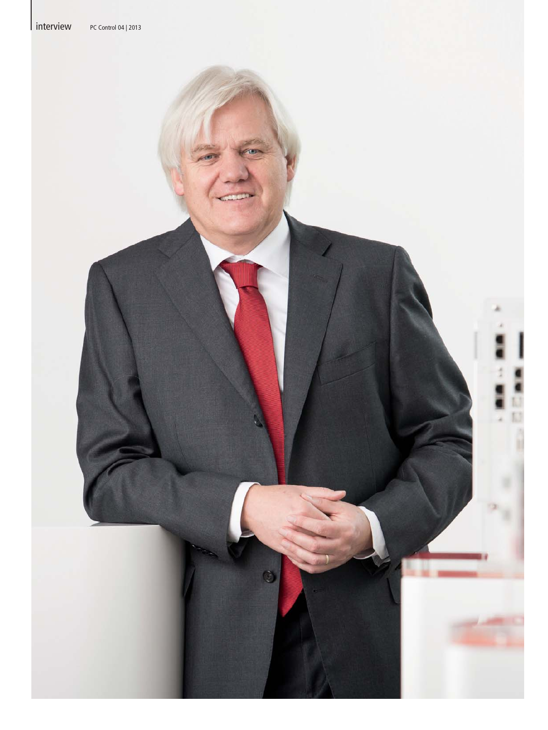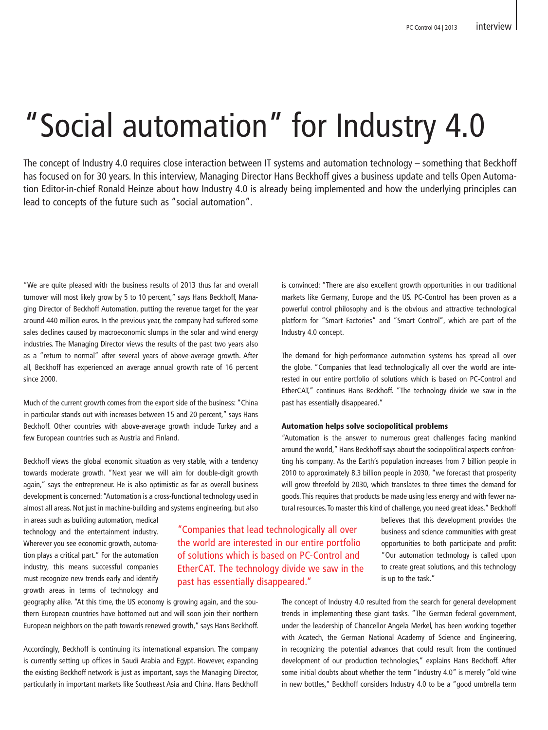# "Social automation" for Industry 4.0

The concept of Industry 4.0 requires close interaction between IT systems and automation technology – something that Beckhoff has focused on for 30 years. In this interview, Managing Director Hans Beckhoff gives a business update and tells Open Automation Editor-in-chief Ronald Heinze about how Industry 4.0 is already being implemented and how the underlying principles can lead to concepts of the future such as "social automation".

"We are quite pleased with the business results of 2013 thus far and overall turnover will most likely grow by 5 to 10 percent," says Hans Beckhoff, Managing Director of Beckhoff Automation, putting the revenue target for the year around 440 million euros. In the previous year, the company had suffered some sales declines caused by macroeconomic slumps in the solar and wind energy industries. The Managing Director views the results of the past two years also as a "return to normal" after several years of above-average growth. After all, Beckhoff has experienced an average annual growth rate of 16 percent since 2000.

Much of the current growth comes from the export side of the business: "China in particular stands out with increases between 15 and 20 percent," says Hans Beckhoff. Other countries with above-average growth include Turkey and a few European countries such as Austria and Finland.

Beckhoff views the global economic situation as very stable, with a tendency towards moderate growth. "Next year we will aim for double-digit growth again," says the entrepreneur. He is also optimistic as far as overall business development is concerned: "Automation is a cross-functional technology used in almost all areas. Not just in machine-building and systems engineering, but also

in areas such as building automation, medical technology and the entertainment industry. Wherever you see economic growth, automation plays a critical part." For the automation industry, this means successful companies must recognize new trends early and identify growth areas in terms of technology and

geography alike. "At this time, the US economy is growing again, and the southern European countries have bottomed out and will soon join their northern European neighbors on the path towards renewed growth," says Hans Beckhoff.

Accordingly, Beckhoff is continuing its international expansion. The company is currently setting up offices in Saudi Arabia and Egypt. However, expanding the existing Beckhoff network is just as important, says the Managing Director, particularly in important markets like Southeast Asia and China. Hans Beckhoff is convinced: "There are also excellent growth opportunities in our traditional markets like Germany, Europe and the US. PC-Control has been proven as a powerful control philosophy and is the obvious and attractive technological platform for "Smart Factories" and "Smart Control", which are part of the Industry 4.0 concept.

The demand for high-performance automation systems has spread all over the globe. "Companies that lead technologically all over the world are interested in our entire portfolio of solutions which is based on PC-Control and EtherCAT," continues Hans Beckhoff. "The technology divide we saw in the past has essentially disappeared."

#### Automation helps solve sociopolitical problems

"Automation is the answer to numerous great challenges facing mankind around the world," Hans Beckhoff says about the sociopolitical aspects confronting his company. As the Earth's population increases from 7 billion people in 2010 to approximately 8.3 billion people in 2030, "we forecast that prosperity will grow threefold by 2030, which translates to three times the demand for goods. This requires that products be made using less energy and with fewer natural resources. To master this kind of challenge, you need great ideas." Beckhoff

 "Companies that lead technologically all over the world are interested in our entire portfolio of solutions which is based on PC-Control and EtherCAT. The technology divide we saw in the past has essentially disappeared."

believes that this development provides the business and science communities with great opportunities to both participate and profit: "Our automation technology is called upon to create great solutions, and this technology is up to the task."

The concept of Industry 4.0 resulted from the search for general development trends in implementing these giant tasks. "The German federal government, under the leadership of Chancellor Angela Merkel, has been working together with Acatech, the German National Academy of Science and Engineering, in recognizing the potential advances that could result from the continued development of our production technologies," explains Hans Beckhoff. After some initial doubts about whether the term "Industry 4.0" is merely "old wine in new bottles," Beckhoff considers Industry 4.0 to be a "good umbrella term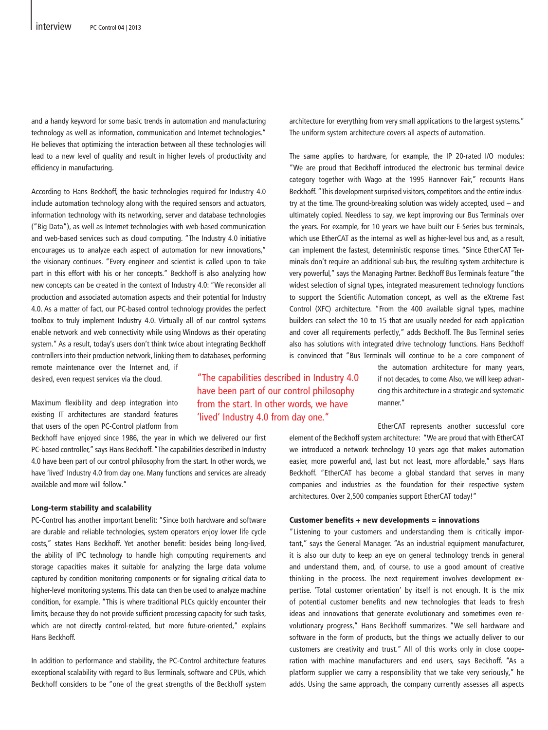and a handy keyword for some basic trends in automation and manufacturing technology as well as information, communication and Internet technologies." He believes that optimizing the interaction between all these technologies will lead to a new level of quality and result in higher levels of productivity and efficiency in manufacturing.

According to Hans Beckhoff, the basic technologies required for Industry 4.0 include automation technology along with the required sensors and actuators, information technology with its networking, server and database technologies ("Big Data"), as well as Internet technologies with web-based communication and web-based services such as cloud computing. "The Industry 4.0 initiative encourages us to analyze each aspect of automation for new innovations," the visionary continues. "Every engineer and scientist is called upon to take part in this effort with his or her concepts." Beckhoff is also analyzing how new concepts can be created in the context of Industry 4.0: "We reconsider all production and associated automation aspects and their potential for Industry 4.0. As a matter of fact, our PC-based control technology provides the perfect toolbox to truly implement Industry 4.0. Virtually all of our control systems enable network and web connectivity while using Windows as their operating system." As a result, today's users don't think twice about integrating Beckhoff controllers into their production network, linking them to databases, performing

remote maintenance over the Internet and, if desired, even request services via the cloud.

Maximum flexibility and deep integration into existing IT architectures are standard features that users of the open PC-Control platform from

Beckhoff have enjoyed since 1986, the year in which we delivered our first PC-based controller," says Hans Beckhoff. "The capabilities described in Industry 4.0 have been part of our control philosophy from the start. In other words, we have 'lived' Industry 4.0 from day one. Many functions and services are already available and more will follow."

### Long-term stability and scalability

PC-Control has another important benefit: "Since both hardware and software are durable and reliable technologies, system operators enjoy lower life cycle costs," states Hans Beckhoff. Yet another benefit: besides being long-lived, the ability of IPC technology to handle high computing requirements and storage capacities makes it suitable for analyzing the large data volume captured by condition monitoring components or for signaling critical data to higher-level monitoring systems. This data can then be used to analyze machine condition, for example. "This is where traditional PLCs quickly encounter their limits, because they do not provide sufficient processing capacity for such tasks, which are not directly control-related, but more future-oriented," explains Hans Beckhoff.

In addition to performance and stability, the PC-Control architecture features exceptional scalability with regard to Bus Terminals, software and CPUs, which Beckhoff considers to be "one of the great strengths of the Beckhoff system

architecture for everything from very small applications to the largest systems." The uniform system architecture covers all aspects of automation.

The same applies to hardware, for example, the IP 20-rated I/O modules: "We are proud that Beckhoff introduced the electronic bus terminal device category together with Wago at the 1995 Hannover Fair," recounts Hans Beckhoff. "This development surprised visitors, competitors and the entire industry at the time. The ground-breaking solution was widely accepted, used – and ultimately copied. Needless to say, we kept improving our Bus Terminals over the years. For example, for 10 years we have built our E-Series bus terminals, which use EtherCAT as the internal as well as higher-level bus and, as a result, can implement the fastest, deterministic response times. "Since EtherCAT Terminals don't require an additional sub-bus, the resulting system architecture is very powerful," says the Managing Partner. Beckhoff Bus Terminals feature "the widest selection of signal types, integrated measurement technology functions to support the Scientific Automation concept, as well as the eXtreme Fast Control (XFC) architecture. "From the 400 available signal types, machine builders can select the 10 to 15 that are usually needed for each application and cover all requirements perfectly," adds Beckhoff. The Bus Terminal series also has solutions with integrated drive technology functions. Hans Beckhoff is convinced that "Bus Terminals will continue to be a core component of

> the automation architecture for many years, if not decades, to come. Also, we will keep advancing this architecture in a strategic and systematic manner."

> EtherCAT represents another successful core

element of the Beckhoff system architecture: "We are proud that with EtherCAT we introduced a network technology 10 years ago that makes automation easier, more powerful and, last but not least, more affordable," says Hans Beckhoff. "EtherCAT has become a global standard that serves in many companies and industries as the foundation for their respective system architectures. Over 2,500 companies support EtherCAT today!"

#### Customer benefits + new developments = innovations

 "The capabilities described in Industry 4.0 have been part of our control philosophy from the start. In other words, we have 'lived' Industry 4.0 from day one."

> "Listening to your customers and understanding them is critically important," says the General Manager. "As an industrial equipment manufacturer, it is also our duty to keep an eye on general technology trends in general and understand them, and, of course, to use a good amount of creative thinking in the process. The next requirement involves development expertise. 'Total customer orientation' by itself is not enough. It is the mix of potential customer benefits and new technologies that leads to fresh ideas and innovations that generate evolutionary and sometimes even revolutionary progress," Hans Beckhoff summarizes. "We sell hardware and software in the form of products, but the things we actually deliver to our customers are creativity and trust." All of this works only in close cooperation with machine manufacturers and end users, says Beckhoff. "As a platform supplier we carry a responsibility that we take very seriously," he adds. Using the same approach, the company currently assesses all aspects